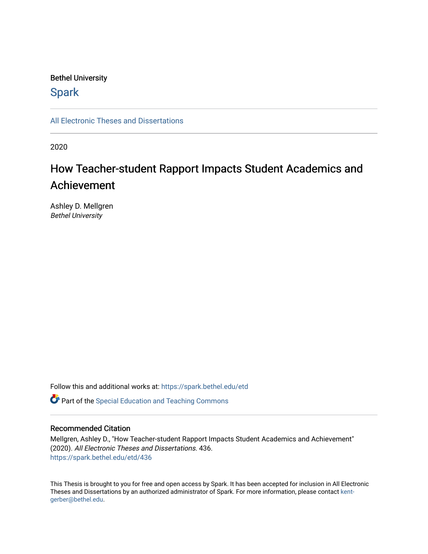## Bethel University

## **Spark**

[All Electronic Theses and Dissertations](https://spark.bethel.edu/etd) 

2020

# How Teacher-student Rapport Impacts Student Academics and Achievement

Ashley D. Mellgren Bethel University

Follow this and additional works at: [https://spark.bethel.edu/etd](https://spark.bethel.edu/etd?utm_source=spark.bethel.edu%2Fetd%2F436&utm_medium=PDF&utm_campaign=PDFCoverPages)

**C** Part of the Special Education and Teaching Commons

## Recommended Citation

Mellgren, Ashley D., "How Teacher-student Rapport Impacts Student Academics and Achievement" (2020). All Electronic Theses and Dissertations. 436. [https://spark.bethel.edu/etd/436](https://spark.bethel.edu/etd/436?utm_source=spark.bethel.edu%2Fetd%2F436&utm_medium=PDF&utm_campaign=PDFCoverPages)

This Thesis is brought to you for free and open access by Spark. It has been accepted for inclusion in All Electronic Theses and Dissertations by an authorized administrator of Spark. For more information, please contact [kent](mailto:kent-gerber@bethel.edu)[gerber@bethel.edu.](mailto:kent-gerber@bethel.edu)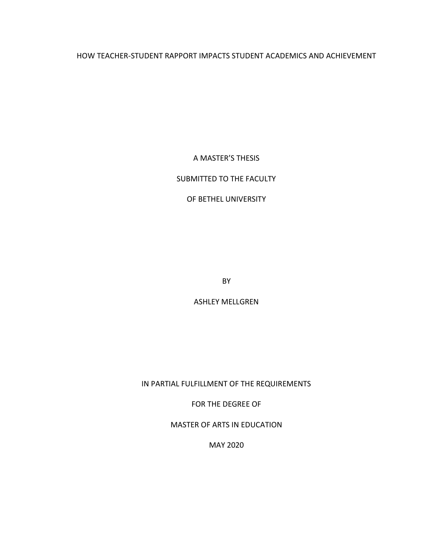## HOW TEACHER-STUDENT RAPPORT IMPACTS STUDENT ACADEMICS AND ACHIEVEMENT

A MASTER'S THESIS

## SUBMITTED TO THE FACULTY

## OF BETHEL UNIVERSITY

BY

ASHLEY MELLGREN

IN PARTIAL FULFILLMENT OF THE REQUIREMENTS

FOR THE DEGREE OF

MASTER OF ARTS IN EDUCATION

MAY 2020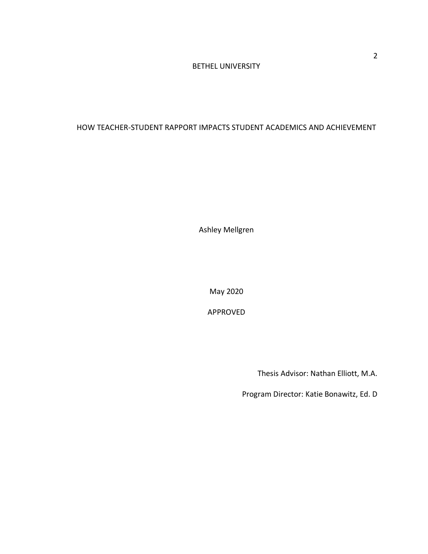## BETHEL UNIVERSITY

## HOW TEACHER-STUDENT RAPPORT IMPACTS STUDENT ACADEMICS AND ACHIEVEMENT

Ashley Mellgren

May 2020

APPROVED

Thesis Advisor: Nathan Elliott, M.A.

Program Director: Katie Bonawitz, Ed. D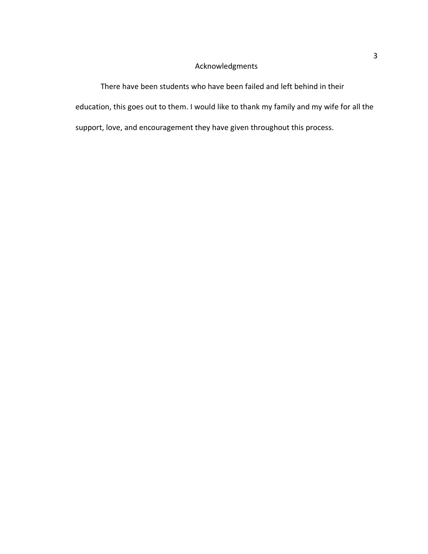## Acknowledgments

There have been students who have been failed and left behind in their education, this goes out to them. I would like to thank my family and my wife for all the support, love, and encouragement they have given throughout this process.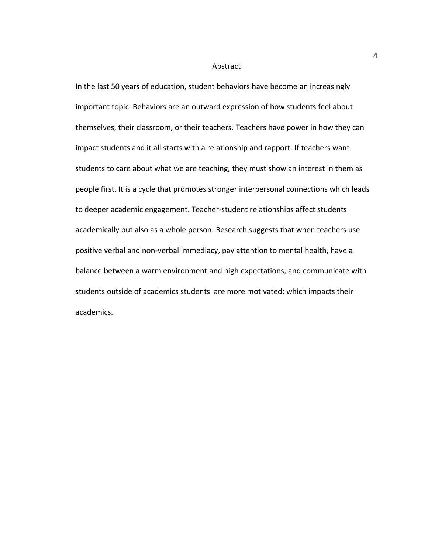#### Abstract

In the last 50 years of education, student behaviors have become an increasingly important topic. Behaviors are an outward expression of how students feel about themselves, their classroom, or their teachers. Teachers have power in how they can impact students and it all starts with a relationship and rapport. If teachers want students to care about what we are teaching, they must show an interest in them as people first. It is a cycle that promotes stronger interpersonal connections which leads to deeper academic engagement. Teacher-student relationships affect students academically but also as a whole person. Research suggests that when teachers use positive verbal and non-verbal immediacy, pay attention to mental health, have a balance between a warm environment and high expectations, and communicate with students outside of academics students are more motivated; which impacts their academics.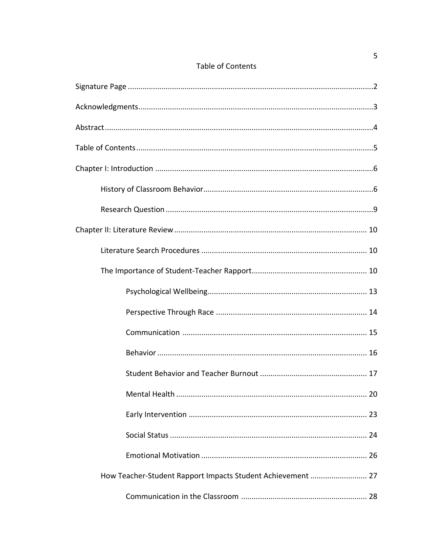|  | <b>Table of Contents</b> |
|--|--------------------------|
|  |                          |

| 20 |
|----|
|    |
|    |
|    |
|    |
|    |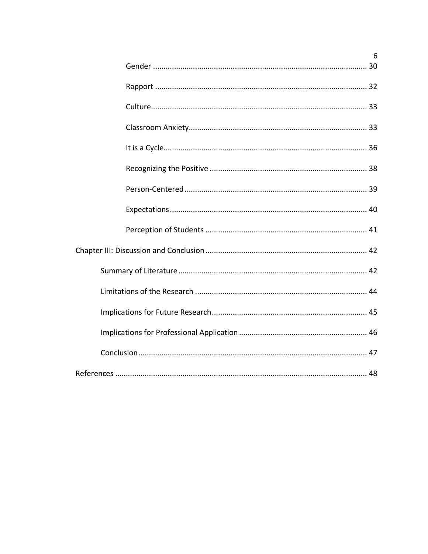| 6 |  |
|---|--|
|   |  |
|   |  |
|   |  |
|   |  |
|   |  |
|   |  |
|   |  |
|   |  |
|   |  |
|   |  |
|   |  |
|   |  |
|   |  |
|   |  |
|   |  |
|   |  |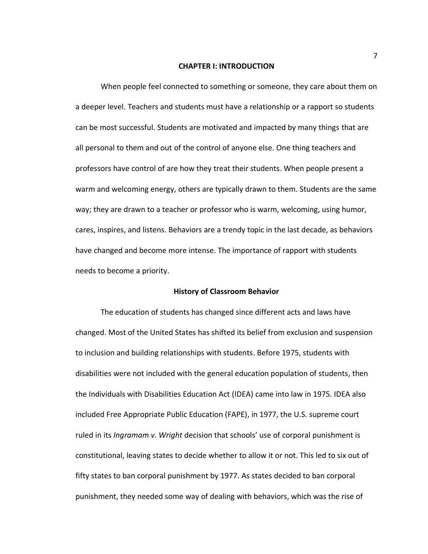#### **CHAPTER I: INTRODUCTION**

When people feel connected to something or someone, they care about them on a deeper level. Teachers and students must have a relationship or a rapport so students can be most successful. Students are motivated and impacted by many things that are all personal to them and out of the control of anyone else. One thing teachers and professors have control of are how they treat their students. When people present a warm and welcoming energy, others are typically drawn to them. Students are the same way; they are drawn to a teacher or professor who is warm, welcoming, using humor, cares, inspires, and listens. Behaviors are a trendy topic in the last decade, as behaviors have changed and become more intense. The importance of rapport with students needs to become a priority.

#### **History of Classroom Behavior**

The education of students has changed since different acts and laws have changed. Most of the United States has shifted its belief from exclusion and suspension to inclusion and building relationships with students. Before 1975, students with disabilities were not included with the general education population of students, then the Individuals with Disabilities Education Act (IDEA) came into law in 1975. IDEA also included Free Appropriate Public Education (FAPE), in 1977, the U.S. supreme court ruled in its *Ingramam v. Wright* decision that schools' use of corporal punishment is constitutional, leaving states to decide whether to allow it or not. This led to six out of fifty states to ban corporal punishment by 1977. As states decided to ban corporal punishment, they needed some way of dealing with behaviors, which was the rise of

7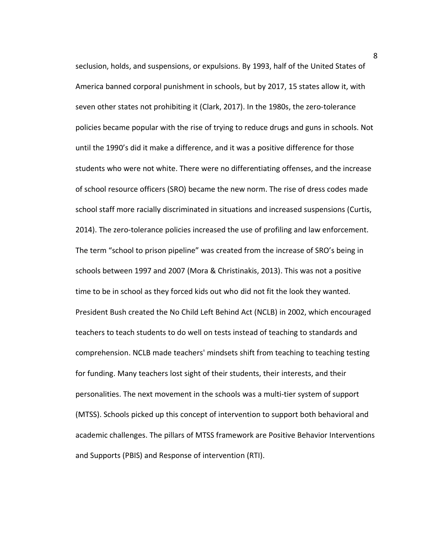seclusion, holds, and suspensions, or expulsions. By 1993, half of the United States of America banned corporal punishment in schools, but by 2017, 15 states allow it, with seven other states not prohibiting it (Clark, 2017). In the 1980s, the zero-tolerance policies became popular with the rise of trying to reduce drugs and guns in schools. Not until the 1990's did it make a difference, and it was a positive difference for those students who were not white. There were no differentiating offenses, and the increase of school resource officers (SRO) became the new norm. The rise of dress codes made school staff more racially discriminated in situations and increased suspensions (Curtis, 2014). The zero-tolerance policies increased the use of profiling and law enforcement. The term "school to prison pipeline" was created from the increase of SRO's being in schools between 1997 and 2007 (Mora & Christinakis, 2013). This was not a positive time to be in school as they forced kids out who did not fit the look they wanted. President Bush created the No Child Left Behind Act (NCLB) in 2002, which encouraged teachers to teach students to do well on tests instead of teaching to standards and comprehension. NCLB made teachers' mindsets shift from teaching to teaching testing for funding. Many teachers lost sight of their students, their interests, and their personalities. The next movement in the schools was a multi-tier system of support (MTSS). Schools picked up this concept of intervention to support both behavioral and academic challenges. The pillars of MTSS framework are Positive Behavior Interventions and Supports (PBIS) and Response of intervention (RTI).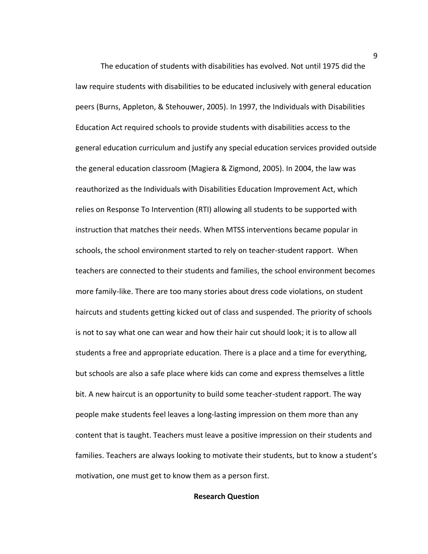The education of students with disabilities has evolved. Not until 1975 did the law require students with disabilities to be educated inclusively with general education peers (Burns, Appleton, & Stehouwer, 2005). In 1997, the Individuals with Disabilities Education Act required schools to provide students with disabilities access to the general education curriculum and justify any special education services provided outside the general education classroom (Magiera & Zigmond, 2005). In 2004, the law was reauthorized as the Individuals with Disabilities Education Improvement Act, which relies on Response To Intervention (RTI) allowing all students to be supported with instruction that matches their needs. When MTSS interventions became popular in schools, the school environment started to rely on teacher-student rapport. When teachers are connected to their students and families, the school environment becomes more family-like. There are too many stories about dress code violations, on student haircuts and students getting kicked out of class and suspended. The priority of schools is not to say what one can wear and how their hair cut should look; it is to allow all students a free and appropriate education. There is a place and a time for everything, but schools are also a safe place where kids can come and express themselves a little bit. A new haircut is an opportunity to build some teacher-student rapport. The way people make students feel leaves a long-lasting impression on them more than any content that is taught. Teachers must leave a positive impression on their students and families. Teachers are always looking to motivate their students, but to know a student's motivation, one must get to know them as a person first.

## **Research Question**

9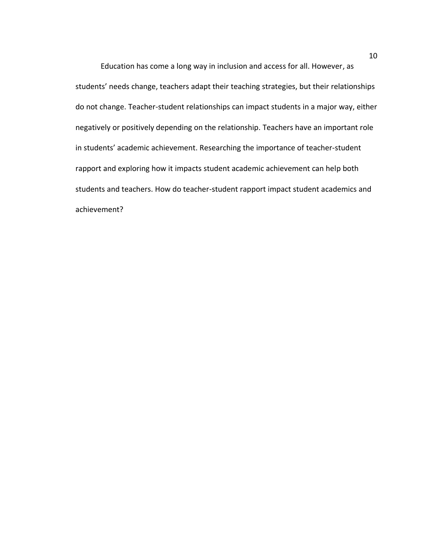Education has come a long way in inclusion and access for all. However, as students' needs change, teachers adapt their teaching strategies, but their relationships do not change. Teacher-student relationships can impact students in a major way, either negatively or positively depending on the relationship. Teachers have an important role in students' academic achievement. Researching the importance of teacher-student rapport and exploring how it impacts student academic achievement can help both students and teachers. How do teacher-student rapport impact student academics and achievement?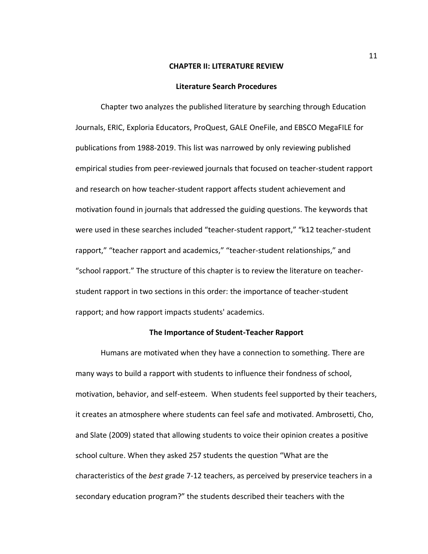#### **CHAPTER II: LITERATURE REVIEW**

#### **Literature Search Procedures**

Chapter two analyzes the published literature by searching through Education Journals, ERIC, Exploria Educators, ProQuest, GALE OneFile, and EBSCO MegaFILE for publications from 1988-2019. This list was narrowed by only reviewing published empirical studies from peer-reviewed journals that focused on teacher-student rapport and research on how teacher-student rapport affects student achievement and motivation found in journals that addressed the guiding questions. The keywords that were used in these searches included "teacher-student rapport," "k12 teacher-student rapport," "teacher rapport and academics," "teacher-student relationships," and "school rapport." The structure of this chapter is to review the literature on teacherstudent rapport in two sections in this order: the importance of teacher-student rapport; and how rapport impacts students' academics.

#### **The Importance of Student-Teacher Rapport**

Humans are motivated when they have a connection to something. There are many ways to build a rapport with students to influence their fondness of school, motivation, behavior, and self-esteem. When students feel supported by their teachers, it creates an atmosphere where students can feel safe and motivated. Ambrosetti, Cho, and Slate (2009) stated that allowing students to voice their opinion creates a positive school culture. When they asked 257 students the question "What are the characteristics of the *best* grade 7-12 teachers, as perceived by preservice teachers in a secondary education program?" the students described their teachers with the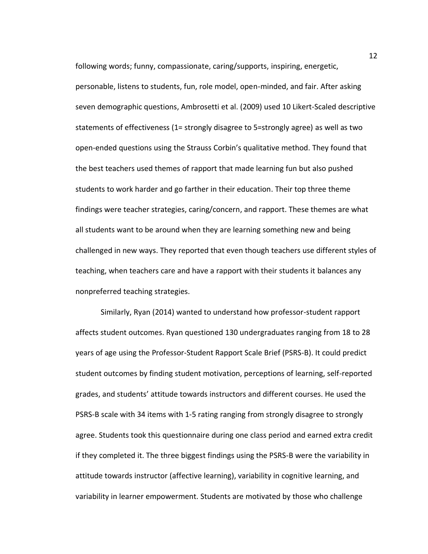following words; funny, compassionate, caring/supports, inspiring, energetic,

personable, listens to students, fun, role model, open-minded, and fair. After asking seven demographic questions, Ambrosetti et al. (2009) used 10 Likert-Scaled descriptive statements of effectiveness (1= strongly disagree to 5=strongly agree) as well as two open-ended questions using the Strauss Corbin's qualitative method. They found that the best teachers used themes of rapport that made learning fun but also pushed students to work harder and go farther in their education. Their top three theme findings were teacher strategies, caring/concern, and rapport. These themes are what all students want to be around when they are learning something new and being challenged in new ways. They reported that even though teachers use different styles of teaching, when teachers care and have a rapport with their students it balances any nonpreferred teaching strategies.

Similarly, Ryan (2014) wanted to understand how professor-student rapport affects student outcomes. Ryan questioned 130 undergraduates ranging from 18 to 28 years of age using the Professor-Student Rapport Scale Brief (PSRS-B). It could predict student outcomes by finding student motivation, perceptions of learning, self-reported grades, and students' attitude towards instructors and different courses. He used the PSRS-B scale with 34 items with 1-5 rating ranging from strongly disagree to strongly agree. Students took this questionnaire during one class period and earned extra credit if they completed it. The three biggest findings using the PSRS-B were the variability in attitude towards instructor (affective learning), variability in cognitive learning, and variability in learner empowerment. Students are motivated by those who challenge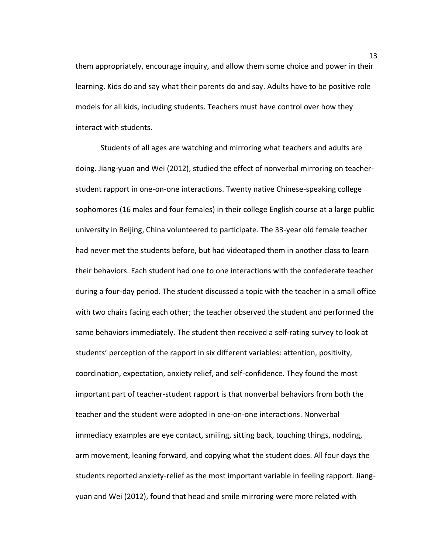them appropriately, encourage inquiry, and allow them some choice and power in their learning. Kids do and say what their parents do and say. Adults have to be positive role models for all kids, including students. Teachers must have control over how they interact with students.

Students of all ages are watching and mirroring what teachers and adults are doing. Jiang-yuan and Wei (2012), studied the effect of nonverbal mirroring on teacherstudent rapport in one-on-one interactions. Twenty native Chinese-speaking college sophomores (16 males and four females) in their college English course at a large public university in Beijing, China volunteered to participate. The 33-year old female teacher had never met the students before, but had videotaped them in another class to learn their behaviors. Each student had one to one interactions with the confederate teacher during a four-day period. The student discussed a topic with the teacher in a small office with two chairs facing each other; the teacher observed the student and performed the same behaviors immediately. The student then received a self-rating survey to look at students' perception of the rapport in six different variables: attention, positivity, coordination, expectation, anxiety relief, and self-confidence. They found the most important part of teacher-student rapport is that nonverbal behaviors from both the teacher and the student were adopted in one-on-one interactions. Nonverbal immediacy examples are eye contact, smiling, sitting back, touching things, nodding, arm movement, leaning forward, and copying what the student does. All four days the students reported anxiety-relief as the most important variable in feeling rapport. Jiangyuan and Wei (2012), found that head and smile mirroring were more related with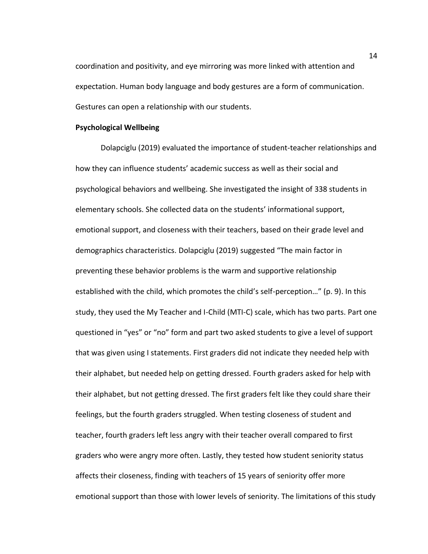coordination and positivity, and eye mirroring was more linked with attention and expectation. Human body language and body gestures are a form of communication. Gestures can open a relationship with our students.

## **Psychological Wellbeing**

Dolapciglu (2019) evaluated the importance of student-teacher relationships and how they can influence students' academic success as well as their social and psychological behaviors and wellbeing. She investigated the insight of 338 students in elementary schools. She collected data on the students' informational support, emotional support, and closeness with their teachers, based on their grade level and demographics characteristics. Dolapciglu (2019) suggested "The main factor in preventing these behavior problems is the warm and supportive relationship established with the child, which promotes the child's self-perception…" (p. 9). In this study, they used the My Teacher and I-Child (MTI-C) scale, which has two parts. Part one questioned in "yes" or "no" form and part two asked students to give a level of support that was given using I statements. First graders did not indicate they needed help with their alphabet, but needed help on getting dressed. Fourth graders asked for help with their alphabet, but not getting dressed. The first graders felt like they could share their feelings, but the fourth graders struggled. When testing closeness of student and teacher, fourth graders left less angry with their teacher overall compared to first graders who were angry more often. Lastly, they tested how student seniority status affects their closeness, finding with teachers of 15 years of seniority offer more emotional support than those with lower levels of seniority. The limitations of this study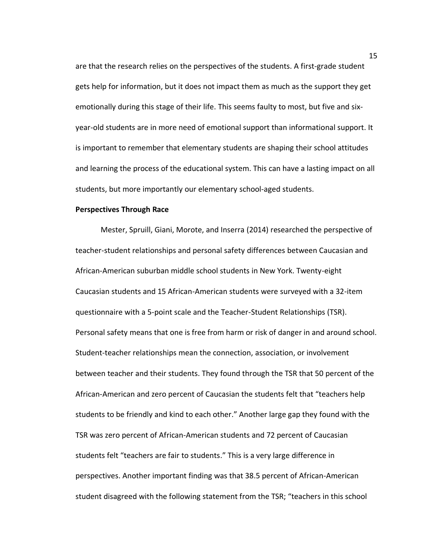are that the research relies on the perspectives of the students. A first-grade student gets help for information, but it does not impact them as much as the support they get emotionally during this stage of their life. This seems faulty to most, but five and sixyear-old students are in more need of emotional support than informational support. It is important to remember that elementary students are shaping their school attitudes and learning the process of the educational system. This can have a lasting impact on all students, but more importantly our elementary school-aged students.

## **Perspectives Through Race**

Mester, Spruill, Giani, Morote, and Inserra (2014) researched the perspective of teacher-student relationships and personal safety differences between Caucasian and African-American suburban middle school students in New York. Twenty-eight Caucasian students and 15 African-American students were surveyed with a 32-item questionnaire with a 5-point scale and the Teacher-Student Relationships (TSR). Personal safety means that one is free from harm or risk of danger in and around school. Student-teacher relationships mean the connection, association, or involvement between teacher and their students. They found through the TSR that 50 percent of the African-American and zero percent of Caucasian the students felt that "teachers help students to be friendly and kind to each other." Another large gap they found with the TSR was zero percent of African-American students and 72 percent of Caucasian students felt "teachers are fair to students." This is a very large difference in perspectives. Another important finding was that 38.5 percent of African-American student disagreed with the following statement from the TSR; "teachers in this school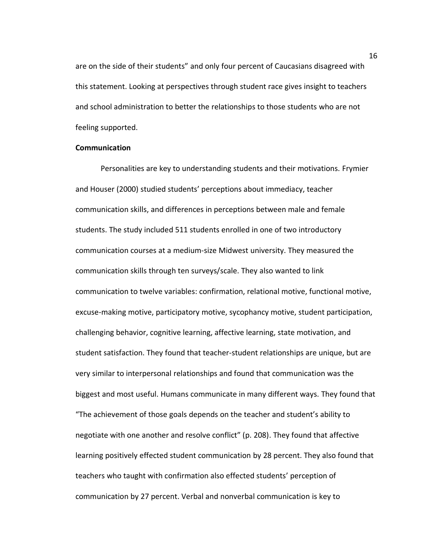are on the side of their students" and only four percent of Caucasians disagreed with this statement. Looking at perspectives through student race gives insight to teachers and school administration to better the relationships to those students who are not feeling supported.

## **Communication**

Personalities are key to understanding students and their motivations. Frymier and Houser (2000) studied students' perceptions about immediacy, teacher communication skills, and differences in perceptions between male and female students. The study included 511 students enrolled in one of two introductory communication courses at a medium-size Midwest university. They measured the communication skills through ten surveys/scale. They also wanted to link communication to twelve variables: confirmation, relational motive, functional motive, excuse-making motive, participatory motive, sycophancy motive, student participation, challenging behavior, cognitive learning, affective learning, state motivation, and student satisfaction. They found that teacher-student relationships are unique, but are very similar to interpersonal relationships and found that communication was the biggest and most useful. Humans communicate in many different ways. They found that "The achievement of those goals depends on the teacher and student's ability to negotiate with one another and resolve conflict" (p. 208). They found that affective learning positively effected student communication by 28 percent. They also found that teachers who taught with confirmation also effected students' perception of communication by 27 percent. Verbal and nonverbal communication is key to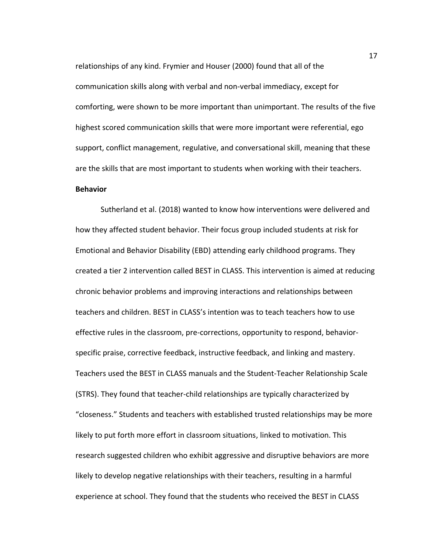relationships of any kind. Frymier and Houser (2000) found that all of the communication skills along with verbal and non-verbal immediacy, except for comforting, were shown to be more important than unimportant. The results of the five highest scored communication skills that were more important were referential, ego support, conflict management, regulative, and conversational skill, meaning that these are the skills that are most important to students when working with their teachers. **Behavior**

Sutherland et al. (2018) wanted to know how interventions were delivered and how they affected student behavior. Their focus group included students at risk for Emotional and Behavior Disability (EBD) attending early childhood programs. They created a tier 2 intervention called BEST in CLASS. This intervention is aimed at reducing chronic behavior problems and improving interactions and relationships between teachers and children. BEST in CLASS's intention was to teach teachers how to use effective rules in the classroom, pre-corrections, opportunity to respond, behaviorspecific praise, corrective feedback, instructive feedback, and linking and mastery. Teachers used the BEST in CLASS manuals and the Student-Teacher Relationship Scale (STRS). They found that teacher-child relationships are typically characterized by "closeness." Students and teachers with established trusted relationships may be more likely to put forth more effort in classroom situations, linked to motivation. This research suggested children who exhibit aggressive and disruptive behaviors are more likely to develop negative relationships with their teachers, resulting in a harmful experience at school. They found that the students who received the BEST in CLASS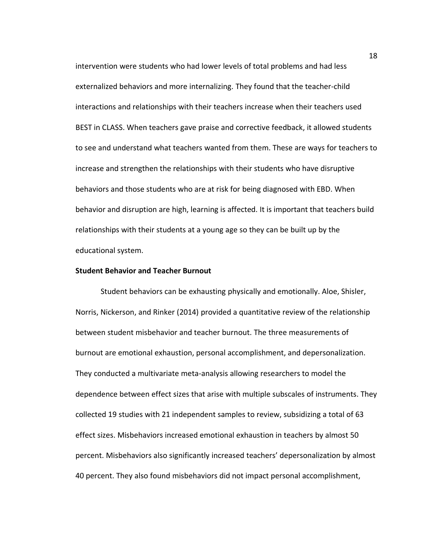intervention were students who had lower levels of total problems and had less externalized behaviors and more internalizing. They found that the teacher-child interactions and relationships with their teachers increase when their teachers used BEST in CLASS. When teachers gave praise and corrective feedback, it allowed students to see and understand what teachers wanted from them. These are ways for teachers to increase and strengthen the relationships with their students who have disruptive behaviors and those students who are at risk for being diagnosed with EBD. When behavior and disruption are high, learning is affected. It is important that teachers build relationships with their students at a young age so they can be built up by the educational system.

## **Student Behavior and Teacher Burnout**

Student behaviors can be exhausting physically and emotionally. Aloe, Shisler, Norris, Nickerson, and Rinker (2014) provided a quantitative review of the relationship between student misbehavior and teacher burnout. The three measurements of burnout are emotional exhaustion, personal accomplishment, and depersonalization. They conducted a multivariate meta-analysis allowing researchers to model the dependence between effect sizes that arise with multiple subscales of instruments. They collected 19 studies with 21 independent samples to review, subsidizing a total of 63 effect sizes. Misbehaviors increased emotional exhaustion in teachers by almost 50 percent. Misbehaviors also significantly increased teachers' depersonalization by almost 40 percent. They also found misbehaviors did not impact personal accomplishment,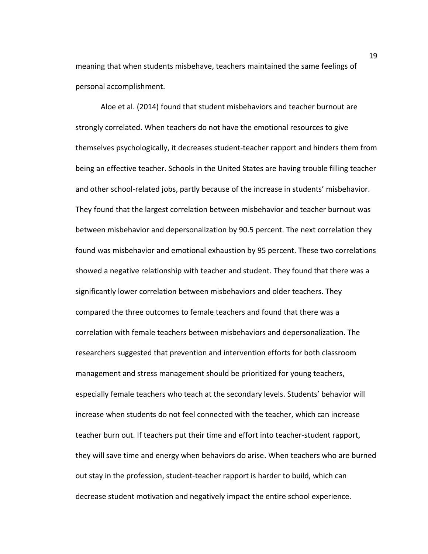meaning that when students misbehave, teachers maintained the same feelings of personal accomplishment.

Aloe et al. (2014) found that student misbehaviors and teacher burnout are strongly correlated. When teachers do not have the emotional resources to give themselves psychologically, it decreases student-teacher rapport and hinders them from being an effective teacher. Schools in the United States are having trouble filling teacher and other school-related jobs, partly because of the increase in students' misbehavior. They found that the largest correlation between misbehavior and teacher burnout was between misbehavior and depersonalization by 90.5 percent. The next correlation they found was misbehavior and emotional exhaustion by 95 percent. These two correlations showed a negative relationship with teacher and student. They found that there was a significantly lower correlation between misbehaviors and older teachers. They compared the three outcomes to female teachers and found that there was a correlation with female teachers between misbehaviors and depersonalization. The researchers suggested that prevention and intervention efforts for both classroom management and stress management should be prioritized for young teachers, especially female teachers who teach at the secondary levels. Students' behavior will increase when students do not feel connected with the teacher, which can increase teacher burn out. If teachers put their time and effort into teacher-student rapport, they will save time and energy when behaviors do arise. When teachers who are burned out stay in the profession, student-teacher rapport is harder to build, which can decrease student motivation and negatively impact the entire school experience.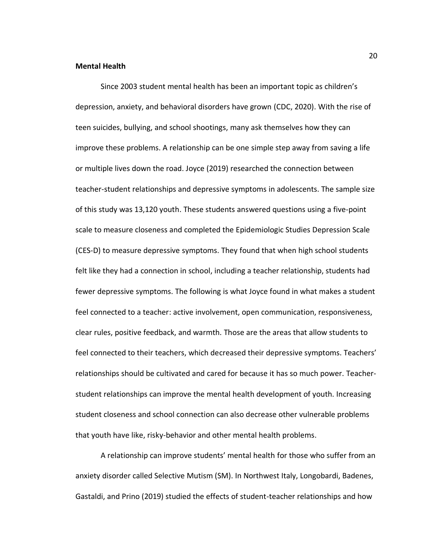## **Mental Health**

Since 2003 student mental health has been an important topic as children's depression, anxiety, and behavioral disorders have grown (CDC, 2020). With the rise of teen suicides, bullying, and school shootings, many ask themselves how they can improve these problems. A relationship can be one simple step away from saving a life or multiple lives down the road. Joyce (2019) researched the connection between teacher-student relationships and depressive symptoms in adolescents. The sample size of this study was 13,120 youth. These students answered questions using a five-point scale to measure closeness and completed the Epidemiologic Studies Depression Scale (CES-D) to measure depressive symptoms. They found that when high school students felt like they had a connection in school, including a teacher relationship, students had fewer depressive symptoms. The following is what Joyce found in what makes a student feel connected to a teacher: active involvement, open communication, responsiveness, clear rules, positive feedback, and warmth. Those are the areas that allow students to feel connected to their teachers, which decreased their depressive symptoms. Teachers' relationships should be cultivated and cared for because it has so much power. Teacherstudent relationships can improve the mental health development of youth. Increasing student closeness and school connection can also decrease other vulnerable problems that youth have like, risky-behavior and other mental health problems.

A relationship can improve students' mental health for those who suffer from an anxiety disorder called Selective Mutism (SM). In Northwest Italy, Longobardi, Badenes, Gastaldi, and Prino (2019) studied the effects of student-teacher relationships and how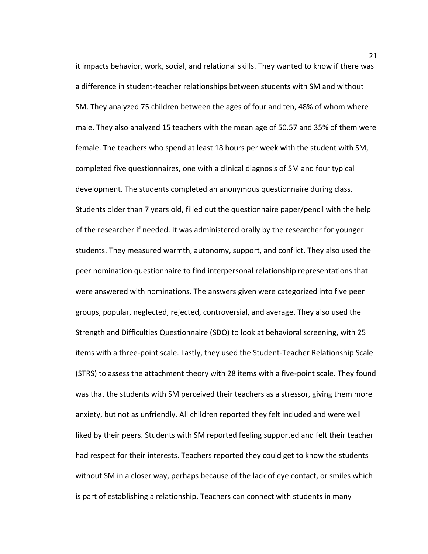it impacts behavior, work, social, and relational skills. They wanted to know if there was a difference in student-teacher relationships between students with SM and without SM. They analyzed 75 children between the ages of four and ten, 48% of whom where male. They also analyzed 15 teachers with the mean age of 50.57 and 35% of them were female. The teachers who spend at least 18 hours per week with the student with SM, completed five questionnaires, one with a clinical diagnosis of SM and four typical development. The students completed an anonymous questionnaire during class. Students older than 7 years old, filled out the questionnaire paper/pencil with the help of the researcher if needed. It was administered orally by the researcher for younger students. They measured warmth, autonomy, support, and conflict. They also used the peer nomination questionnaire to find interpersonal relationship representations that were answered with nominations. The answers given were categorized into five peer groups, popular, neglected, rejected, controversial, and average. They also used the Strength and Difficulties Questionnaire (SDQ) to look at behavioral screening, with 25 items with a three-point scale. Lastly, they used the Student-Teacher Relationship Scale (STRS) to assess the attachment theory with 28 items with a five-point scale. They found was that the students with SM perceived their teachers as a stressor, giving them more anxiety, but not as unfriendly. All children reported they felt included and were well liked by their peers. Students with SM reported feeling supported and felt their teacher had respect for their interests. Teachers reported they could get to know the students without SM in a closer way, perhaps because of the lack of eye contact, or smiles which is part of establishing a relationship. Teachers can connect with students in many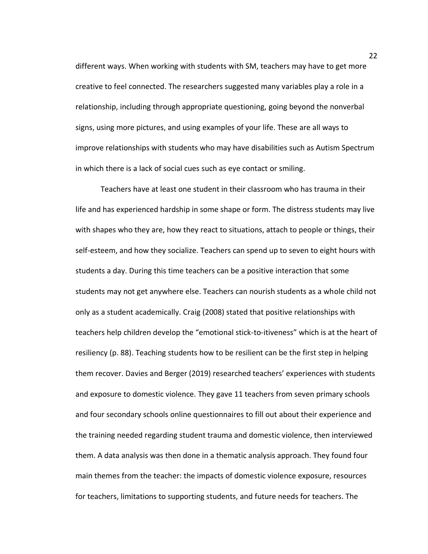different ways. When working with students with SM, teachers may have to get more creative to feel connected. The researchers suggested many variables play a role in a relationship, including through appropriate questioning, going beyond the nonverbal signs, using more pictures, and using examples of your life. These are all ways to improve relationships with students who may have disabilities such as Autism Spectrum in which there is a lack of social cues such as eye contact or smiling.

Teachers have at least one student in their classroom who has trauma in their life and has experienced hardship in some shape or form. The distress students may live with shapes who they are, how they react to situations, attach to people or things, their self-esteem, and how they socialize. Teachers can spend up to seven to eight hours with students a day. During this time teachers can be a positive interaction that some students may not get anywhere else. Teachers can nourish students as a whole child not only as a student academically. Craig (2008) stated that positive relationships with teachers help children develop the "emotional stick-to-itiveness" which is at the heart of resiliency (p. 88). Teaching students how to be resilient can be the first step in helping them recover. Davies and Berger (2019) researched teachers' experiences with students and exposure to domestic violence. They gave 11 teachers from seven primary schools and four secondary schools online questionnaires to fill out about their experience and the training needed regarding student trauma and domestic violence, then interviewed them. A data analysis was then done in a thematic analysis approach. They found four main themes from the teacher: the impacts of domestic violence exposure, resources for teachers, limitations to supporting students, and future needs for teachers. The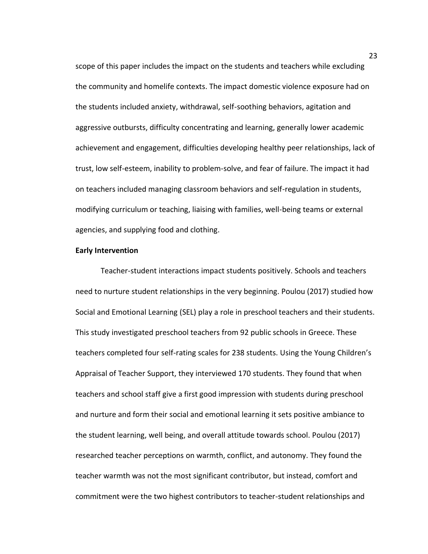scope of this paper includes the impact on the students and teachers while excluding the community and homelife contexts. The impact domestic violence exposure had on the students included anxiety, withdrawal, self-soothing behaviors, agitation and aggressive outbursts, difficulty concentrating and learning, generally lower academic achievement and engagement, difficulties developing healthy peer relationships, lack of trust, low self-esteem, inability to problem-solve, and fear of failure. The impact it had on teachers included managing classroom behaviors and self-regulation in students, modifying curriculum or teaching, liaising with families, well-being teams or external agencies, and supplying food and clothing.

## **Early Intervention**

Teacher-student interactions impact students positively. Schools and teachers need to nurture student relationships in the very beginning. Poulou (2017) studied how Social and Emotional Learning (SEL) play a role in preschool teachers and their students. This study investigated preschool teachers from 92 public schools in Greece. These teachers completed four self-rating scales for 238 students. Using the Young Children's Appraisal of Teacher Support, they interviewed 170 students. They found that when teachers and school staff give a first good impression with students during preschool and nurture and form their social and emotional learning it sets positive ambiance to the student learning, well being, and overall attitude towards school. Poulou (2017) researched teacher perceptions on warmth, conflict, and autonomy. They found the teacher warmth was not the most significant contributor, but instead, comfort and commitment were the two highest contributors to teacher-student relationships and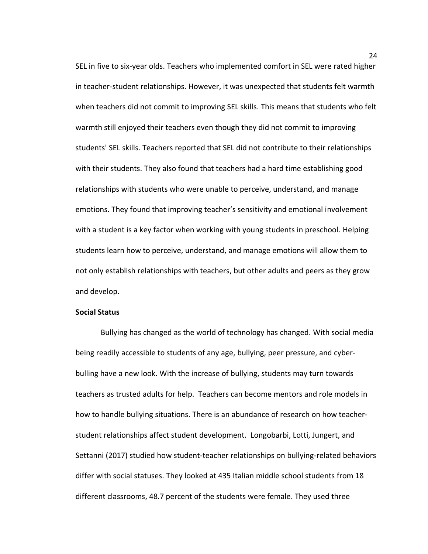SEL in five to six-year olds. Teachers who implemented comfort in SEL were rated higher in teacher-student relationships. However, it was unexpected that students felt warmth when teachers did not commit to improving SEL skills. This means that students who felt warmth still enjoyed their teachers even though they did not commit to improving students' SEL skills. Teachers reported that SEL did not contribute to their relationships with their students. They also found that teachers had a hard time establishing good relationships with students who were unable to perceive, understand, and manage emotions. They found that improving teacher's sensitivity and emotional involvement with a student is a key factor when working with young students in preschool. Helping students learn how to perceive, understand, and manage emotions will allow them to not only establish relationships with teachers, but other adults and peers as they grow and develop.

## **Social Status**

Bullying has changed as the world of technology has changed. With social media being readily accessible to students of any age, bullying, peer pressure, and cyberbulling have a new look. With the increase of bullying, students may turn towards teachers as trusted adults for help. Teachers can become mentors and role models in how to handle bullying situations. There is an abundance of research on how teacherstudent relationships affect student development. Longobarbi, Lotti, Jungert, and Settanni (2017) studied how student-teacher relationships on bullying-related behaviors differ with social statuses. They looked at 435 Italian middle school students from 18 different classrooms, 48.7 percent of the students were female. They used three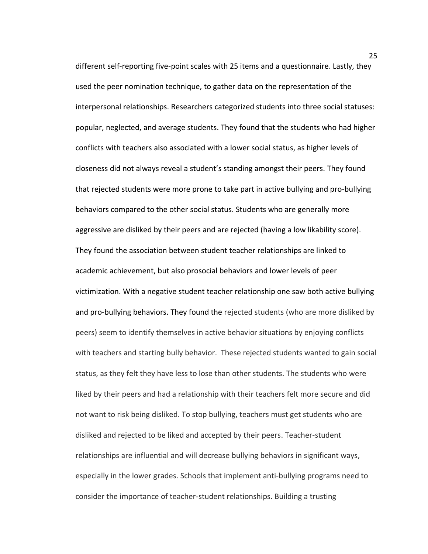different self-reporting five-point scales with 25 items and a questionnaire. Lastly, they used the peer nomination technique, to gather data on the representation of the interpersonal relationships. Researchers categorized students into three social statuses: popular, neglected, and average students. They found that the students who had higher conflicts with teachers also associated with a lower social status, as higher levels of closeness did not always reveal a student's standing amongst their peers. They found that rejected students were more prone to take part in active bullying and pro-bullying behaviors compared to the other social status. Students who are generally more aggressive are disliked by their peers and are rejected (having a low likability score). They found the association between student teacher relationships are linked to academic achievement, but also prosocial behaviors and lower levels of peer victimization. With a negative student teacher relationship one saw both active bullying and pro-bullying behaviors. They found the rejected students (who are more disliked by peers) seem to identify themselves in active behavior situations by enjoying conflicts with teachers and starting bully behavior. These rejected students wanted to gain social status, as they felt they have less to lose than other students. The students who were liked by their peers and had a relationship with their teachers felt more secure and did not want to risk being disliked. To stop bullying, teachers must get students who are disliked and rejected to be liked and accepted by their peers. Teacher-student relationships are influential and will decrease bullying behaviors in significant ways, especially in the lower grades. Schools that implement anti-bullying programs need to consider the importance of teacher-student relationships. Building a trusting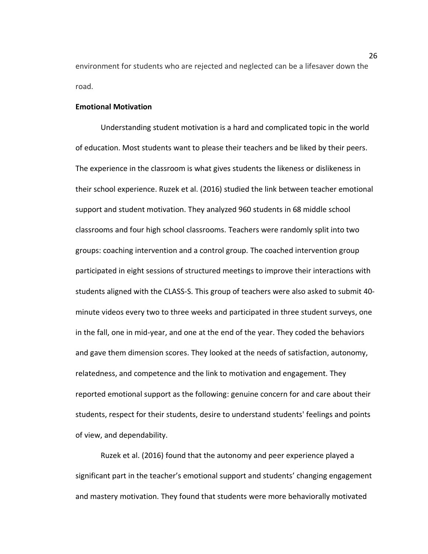environment for students who are rejected and neglected can be a lifesaver down the road.

## **Emotional Motivation**

Understanding student motivation is a hard and complicated topic in the world of education. Most students want to please their teachers and be liked by their peers. The experience in the classroom is what gives students the likeness or dislikeness in their school experience. Ruzek et al. (2016) studied the link between teacher emotional support and student motivation. They analyzed 960 students in 68 middle school classrooms and four high school classrooms. Teachers were randomly split into two groups: coaching intervention and a control group. The coached intervention group participated in eight sessions of structured meetings to improve their interactions with students aligned with the CLASS-S. This group of teachers were also asked to submit 40 minute videos every two to three weeks and participated in three student surveys, one in the fall, one in mid-year, and one at the end of the year. They coded the behaviors and gave them dimension scores. They looked at the needs of satisfaction, autonomy, relatedness, and competence and the link to motivation and engagement. They reported emotional support as the following: genuine concern for and care about their students, respect for their students, desire to understand students' feelings and points of view, and dependability.

Ruzek et al. (2016) found that the autonomy and peer experience played a significant part in the teacher's emotional support and students' changing engagement and mastery motivation. They found that students were more behaviorally motivated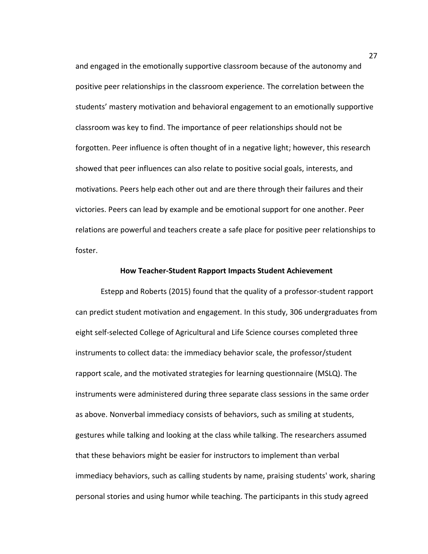and engaged in the emotionally supportive classroom because of the autonomy and positive peer relationships in the classroom experience. The correlation between the students' mastery motivation and behavioral engagement to an emotionally supportive classroom was key to find. The importance of peer relationships should not be forgotten. Peer influence is often thought of in a negative light; however, this research showed that peer influences can also relate to positive social goals, interests, and motivations. Peers help each other out and are there through their failures and their victories. Peers can lead by example and be emotional support for one another. Peer relations are powerful and teachers create a safe place for positive peer relationships to foster.

#### **How Teacher-Student Rapport Impacts Student Achievement**

Estepp and Roberts (2015) found that the quality of a professor-student rapport can predict student motivation and engagement. In this study, 306 undergraduates from eight self-selected College of Agricultural and Life Science courses completed three instruments to collect data: the immediacy behavior scale, the professor/student rapport scale, and the motivated strategies for learning questionnaire (MSLQ). The instruments were administered during three separate class sessions in the same order as above. Nonverbal immediacy consists of behaviors, such as smiling at students, gestures while talking and looking at the class while talking. The researchers assumed that these behaviors might be easier for instructors to implement than verbal immediacy behaviors, such as calling students by name, praising students' work, sharing personal stories and using humor while teaching. The participants in this study agreed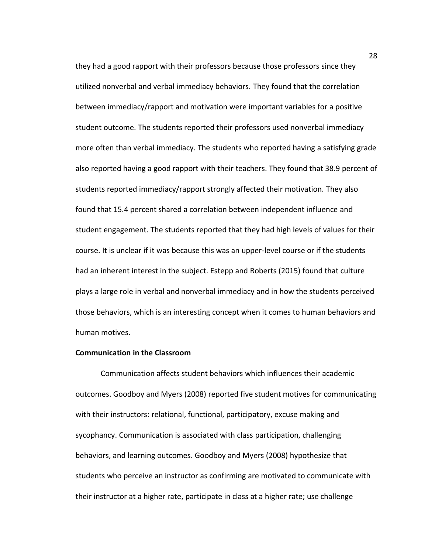they had a good rapport with their professors because those professors since they utilized nonverbal and verbal immediacy behaviors. They found that the correlation between immediacy/rapport and motivation were important variables for a positive student outcome. The students reported their professors used nonverbal immediacy more often than verbal immediacy. The students who reported having a satisfying grade also reported having a good rapport with their teachers. They found that 38.9 percent of students reported immediacy/rapport strongly affected their motivation. They also found that 15.4 percent shared a correlation between independent influence and student engagement. The students reported that they had high levels of values for their course. It is unclear if it was because this was an upper-level course or if the students had an inherent interest in the subject. Estepp and Roberts (2015) found that culture plays a large role in verbal and nonverbal immediacy and in how the students perceived those behaviors, which is an interesting concept when it comes to human behaviors and human motives.

#### **Communication in the Classroom**

Communication affects student behaviors which influences their academic outcomes. Goodboy and Myers (2008) reported five student motives for communicating with their instructors: relational, functional, participatory, excuse making and sycophancy. Communication is associated with class participation, challenging behaviors, and learning outcomes. Goodboy and Myers (2008) hypothesize that students who perceive an instructor as confirming are motivated to communicate with their instructor at a higher rate, participate in class at a higher rate; use challenge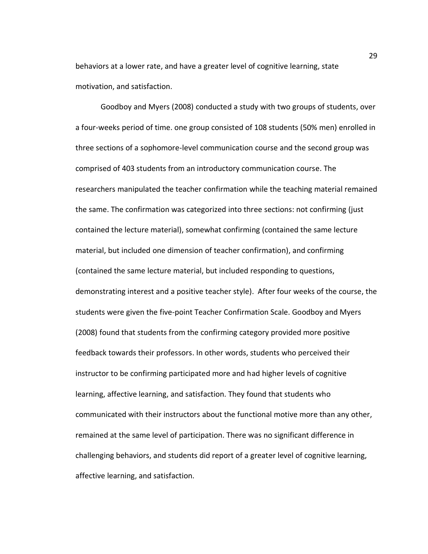behaviors at a lower rate, and have a greater level of cognitive learning, state motivation, and satisfaction.

Goodboy and Myers (2008) conducted a study with two groups of students, over a four-weeks period of time. one group consisted of 108 students (50% men) enrolled in three sections of a sophomore-level communication course and the second group was comprised of 403 students from an introductory communication course. The researchers manipulated the teacher confirmation while the teaching material remained the same. The confirmation was categorized into three sections: not confirming (just contained the lecture material), somewhat confirming (contained the same lecture material, but included one dimension of teacher confirmation), and confirming (contained the same lecture material, but included responding to questions, demonstrating interest and a positive teacher style). After four weeks of the course, the students were given the five-point Teacher Confirmation Scale. Goodboy and Myers (2008) found that students from the confirming category provided more positive feedback towards their professors. In other words, students who perceived their instructor to be confirming participated more and had higher levels of cognitive learning, affective learning, and satisfaction. They found that students who communicated with their instructors about the functional motive more than any other, remained at the same level of participation. There was no significant difference in challenging behaviors, and students did report of a greater level of cognitive learning, affective learning, and satisfaction.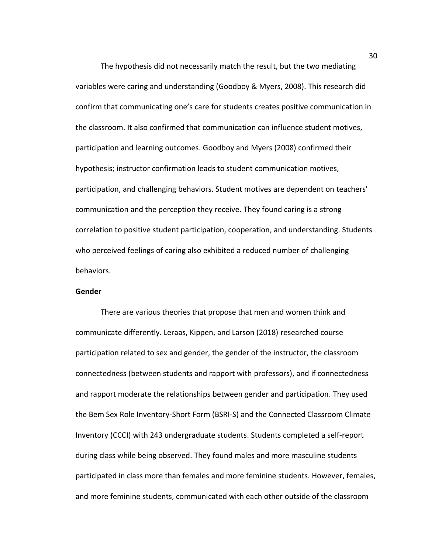The hypothesis did not necessarily match the result, but the two mediating variables were caring and understanding (Goodboy & Myers, 2008). This research did confirm that communicating one's care for students creates positive communication in the classroom. It also confirmed that communication can influence student motives, participation and learning outcomes. Goodboy and Myers (2008) confirmed their hypothesis; instructor confirmation leads to student communication motives, participation, and challenging behaviors. Student motives are dependent on teachers' communication and the perception they receive. They found caring is a strong correlation to positive student participation, cooperation, and understanding. Students who perceived feelings of caring also exhibited a reduced number of challenging behaviors.

#### **Gender**

There are various theories that propose that men and women think and communicate differently. Leraas, Kippen, and Larson (2018) researched course participation related to sex and gender, the gender of the instructor, the classroom connectedness (between students and rapport with professors), and if connectedness and rapport moderate the relationships between gender and participation. They used the Bem Sex Role Inventory-Short Form (BSRI-S) and the Connected Classroom Climate Inventory (CCCI) with 243 undergraduate students. Students completed a self-report during class while being observed. They found males and more masculine students participated in class more than females and more feminine students. However, females, and more feminine students, communicated with each other outside of the classroom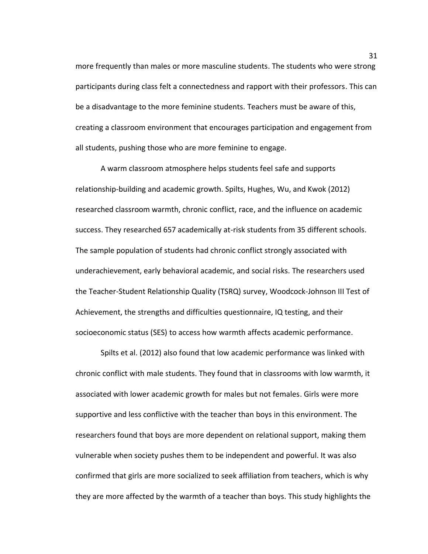more frequently than males or more masculine students. The students who were strong participants during class felt a connectedness and rapport with their professors. This can be a disadvantage to the more feminine students. Teachers must be aware of this, creating a classroom environment that encourages participation and engagement from all students, pushing those who are more feminine to engage.

A warm classroom atmosphere helps students feel safe and supports relationship-building and academic growth. Spilts, Hughes, Wu, and Kwok (2012) researched classroom warmth, chronic conflict, race, and the influence on academic success. They researched 657 academically at-risk students from 35 different schools. The sample population of students had chronic conflict strongly associated with underachievement, early behavioral academic, and social risks. The researchers used the Teacher-Student Relationship Quality (TSRQ) survey, Woodcock-Johnson III Test of Achievement, the strengths and difficulties questionnaire, IQ testing, and their socioeconomic status (SES) to access how warmth affects academic performance.

Spilts et al. (2012) also found that low academic performance was linked with chronic conflict with male students. They found that in classrooms with low warmth, it associated with lower academic growth for males but not females. Girls were more supportive and less conflictive with the teacher than boys in this environment. The researchers found that boys are more dependent on relational support, making them vulnerable when society pushes them to be independent and powerful. It was also confirmed that girls are more socialized to seek affiliation from teachers, which is why they are more affected by the warmth of a teacher than boys. This study highlights the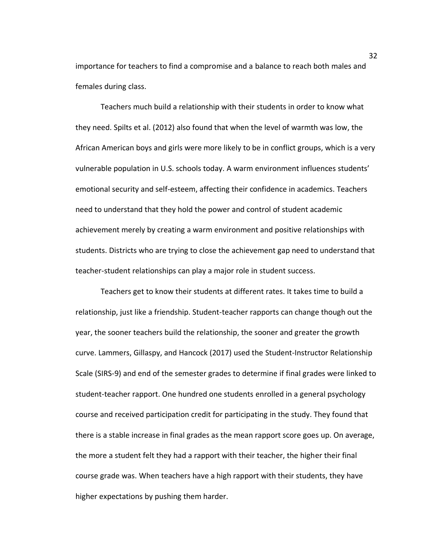importance for teachers to find a compromise and a balance to reach both males and females during class.

Teachers much build a relationship with their students in order to know what they need. Spilts et al. (2012) also found that when the level of warmth was low, the African American boys and girls were more likely to be in conflict groups, which is a very vulnerable population in U.S. schools today. A warm environment influences students' emotional security and self-esteem, affecting their confidence in academics. Teachers need to understand that they hold the power and control of student academic achievement merely by creating a warm environment and positive relationships with students. Districts who are trying to close the achievement gap need to understand that teacher-student relationships can play a major role in student success.

Teachers get to know their students at different rates. It takes time to build a relationship, just like a friendship. Student-teacher rapports can change though out the year, the sooner teachers build the relationship, the sooner and greater the growth curve. Lammers, Gillaspy, and Hancock (2017) used the Student-Instructor Relationship Scale (SIRS-9) and end of the semester grades to determine if final grades were linked to student-teacher rapport. One hundred one students enrolled in a general psychology course and received participation credit for participating in the study. They found that there is a stable increase in final grades as the mean rapport score goes up. On average, the more a student felt they had a rapport with their teacher, the higher their final course grade was. When teachers have a high rapport with their students, they have higher expectations by pushing them harder.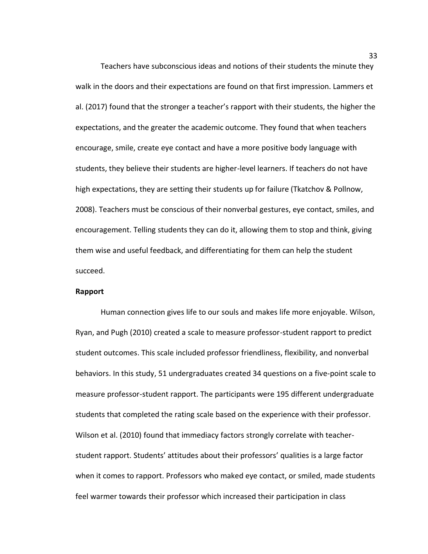Teachers have subconscious ideas and notions of their students the minute they walk in the doors and their expectations are found on that first impression. Lammers et al. (2017) found that the stronger a teacher's rapport with their students, the higher the expectations, and the greater the academic outcome. They found that when teachers encourage, smile, create eye contact and have a more positive body language with students, they believe their students are higher-level learners. If teachers do not have high expectations, they are setting their students up for failure (Tkatchov & Pollnow, 2008). Teachers must be conscious of their nonverbal gestures, eye contact, smiles, and encouragement. Telling students they can do it, allowing them to stop and think, giving them wise and useful feedback, and differentiating for them can help the student succeed.

#### **Rapport**

Human connection gives life to our souls and makes life more enjoyable. Wilson, Ryan, and Pugh (2010) created a scale to measure professor-student rapport to predict student outcomes. This scale included professor friendliness, flexibility, and nonverbal behaviors. In this study, 51 undergraduates created 34 questions on a five-point scale to measure professor-student rapport. The participants were 195 different undergraduate students that completed the rating scale based on the experience with their professor. Wilson et al. (2010) found that immediacy factors strongly correlate with teacherstudent rapport. Students' attitudes about their professors' qualities is a large factor when it comes to rapport. Professors who maked eye contact, or smiled, made students feel warmer towards their professor which increased their participation in class

33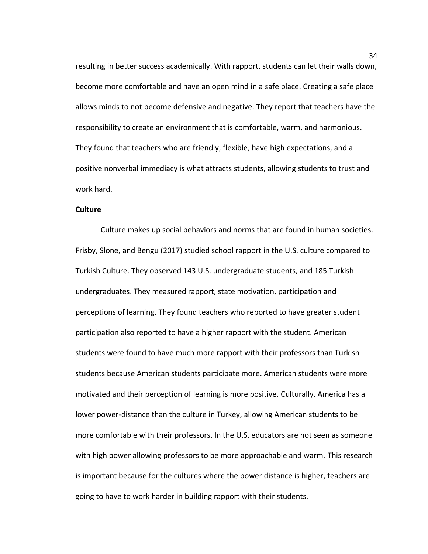resulting in better success academically. With rapport, students can let their walls down, become more comfortable and have an open mind in a safe place. Creating a safe place allows minds to not become defensive and negative. They report that teachers have the responsibility to create an environment that is comfortable, warm, and harmonious. They found that teachers who are friendly, flexible, have high expectations, and a positive nonverbal immediacy is what attracts students, allowing students to trust and work hard.

## **Culture**

Culture makes up social behaviors and norms that are found in human societies. Frisby, Slone, and Bengu (2017) studied school rapport in the U.S. culture compared to Turkish Culture. They observed 143 U.S. undergraduate students, and 185 Turkish undergraduates. They measured rapport, state motivation, participation and perceptions of learning. They found teachers who reported to have greater student participation also reported to have a higher rapport with the student. American students were found to have much more rapport with their professors than Turkish students because American students participate more. American students were more motivated and their perception of learning is more positive. Culturally, America has a lower power-distance than the culture in Turkey, allowing American students to be more comfortable with their professors. In the U.S. educators are not seen as someone with high power allowing professors to be more approachable and warm. This research is important because for the cultures where the power distance is higher, teachers are going to have to work harder in building rapport with their students.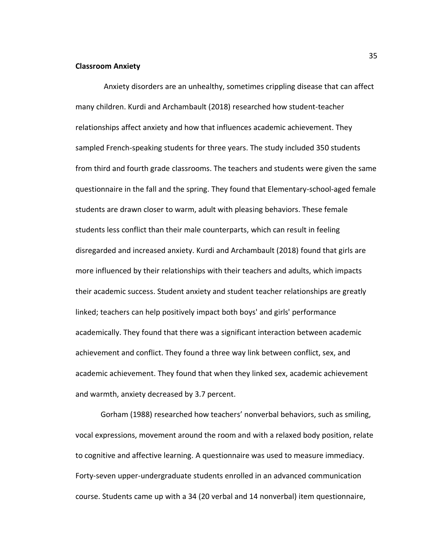#### **Classroom Anxiety**

Anxiety disorders are an unhealthy, sometimes crippling disease that can affect many children. Kurdi and Archambault (2018) researched how student-teacher relationships affect anxiety and how that influences academic achievement. They sampled French-speaking students for three years. The study included 350 students from third and fourth grade classrooms. The teachers and students were given the same questionnaire in the fall and the spring. They found that Elementary-school-aged female students are drawn closer to warm, adult with pleasing behaviors. These female students less conflict than their male counterparts, which can result in feeling disregarded and increased anxiety. Kurdi and Archambault (2018) found that girls are more influenced by their relationships with their teachers and adults, which impacts their academic success. Student anxiety and student teacher relationships are greatly linked; teachers can help positively impact both boys' and girls' performance academically. They found that there was a significant interaction between academic achievement and conflict. They found a three way link between conflict, sex, and academic achievement. They found that when they linked sex, academic achievement and warmth, anxiety decreased by 3.7 percent.

Gorham (1988) researched how teachers' nonverbal behaviors, such as smiling, vocal expressions, movement around the room and with a relaxed body position, relate to cognitive and affective learning. A questionnaire was used to measure immediacy. Forty-seven upper-undergraduate students enrolled in an advanced communication course. Students came up with a 34 (20 verbal and 14 nonverbal) item questionnaire,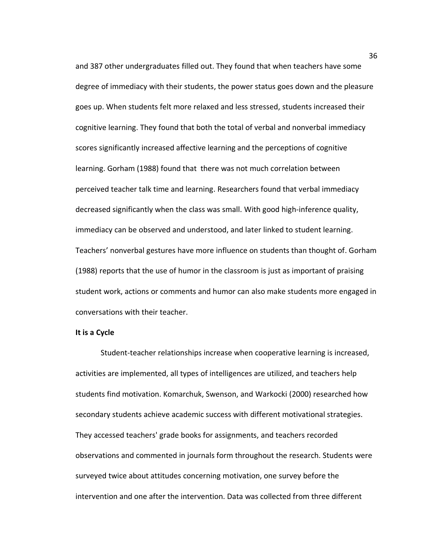and 387 other undergraduates filled out. They found that when teachers have some degree of immediacy with their students, the power status goes down and the pleasure goes up. When students felt more relaxed and less stressed, students increased their cognitive learning. They found that both the total of verbal and nonverbal immediacy scores significantly increased affective learning and the perceptions of cognitive learning. Gorham (1988) found that there was not much correlation between perceived teacher talk time and learning. Researchers found that verbal immediacy decreased significantly when the class was small. With good high-inference quality, immediacy can be observed and understood, and later linked to student learning. Teachers' nonverbal gestures have more influence on students than thought of. Gorham (1988) reports that the use of humor in the classroom is just as important of praising student work, actions or comments and humor can also make students more engaged in conversations with their teacher.

#### **It is a Cycle**

Student-teacher relationships increase when cooperative learning is increased, activities are implemented, all types of intelligences are utilized, and teachers help students find motivation. Komarchuk, Swenson, and Warkocki (2000) researched how secondary students achieve academic success with different motivational strategies. They accessed teachers' grade books for assignments, and teachers recorded observations and commented in journals form throughout the research. Students were surveyed twice about attitudes concerning motivation, one survey before the intervention and one after the intervention. Data was collected from three different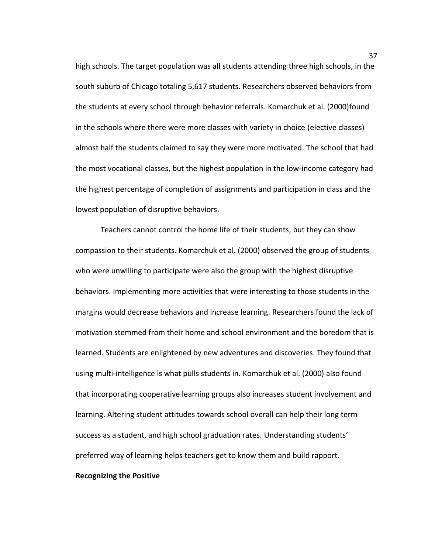high schools. The target population was all students attending three high schools, in the south suburb of Chicago totaling 5,617 students. Researchers observed behaviors from the students at every school through behavior referrals. Komarchuk et al. (2000)found in the schools where there were more classes with variety in choice (elective classes) almost half the students claimed to say they were more motivated. The school that had the most vocational classes, but the highest population in the low-income category had the highest percentage of completion of assignments and participation in class and the lowest population of disruptive behaviors.

Teachers cannot control the home life of their students, but they can show compassion to their students. Komarchuk et al. (2000) observed the group of students who were unwilling to participate were also the group with the highest disruptive behaviors. Implementing more activities that were interesting to those students in the margins would decrease behaviors and increase learning. Researchers found the lack of motivation stemmed from their home and school environment and the boredom that is learned. Students are enlightened by new adventures and discoveries. They found that using multi-intelligence is what pulls students in. Komarchuk et al. (2000) also found that incorporating cooperative learning groups also increases student involvement and learning. Altering student attitudes towards school overall can help their long term success as a student, and high school graduation rates. Understanding students' preferred way of learning helps teachers get to know them and build rapport.

## **Recognizing the Positive**

37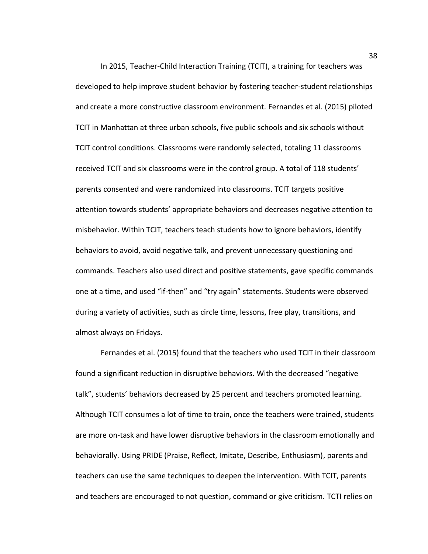In 2015, Teacher-Child Interaction Training (TCIT), a training for teachers was developed to help improve student behavior by fostering teacher-student relationships and create a more constructive classroom environment. Fernandes et al. (2015) piloted TCIT in Manhattan at three urban schools, five public schools and six schools without TCIT control conditions. Classrooms were randomly selected, totaling 11 classrooms received TCIT and six classrooms were in the control group. A total of 118 students' parents consented and were randomized into classrooms. TCIT targets positive attention towards students' appropriate behaviors and decreases negative attention to misbehavior. Within TCIT, teachers teach students how to ignore behaviors, identify behaviors to avoid, avoid negative talk, and prevent unnecessary questioning and commands. Teachers also used direct and positive statements, gave specific commands one at a time, and used "if-then" and "try again" statements. Students were observed during a variety of activities, such as circle time, lessons, free play, transitions, and almost always on Fridays.

Fernandes et al. (2015) found that the teachers who used TCIT in their classroom found a significant reduction in disruptive behaviors. With the decreased "negative talk", students' behaviors decreased by 25 percent and teachers promoted learning. Although TCIT consumes a lot of time to train, once the teachers were trained, students are more on-task and have lower disruptive behaviors in the classroom emotionally and behaviorally. Using PRIDE (Praise, Reflect, Imitate, Describe, Enthusiasm), parents and teachers can use the same techniques to deepen the intervention. With TCIT, parents and teachers are encouraged to not question, command or give criticism. TCTI relies on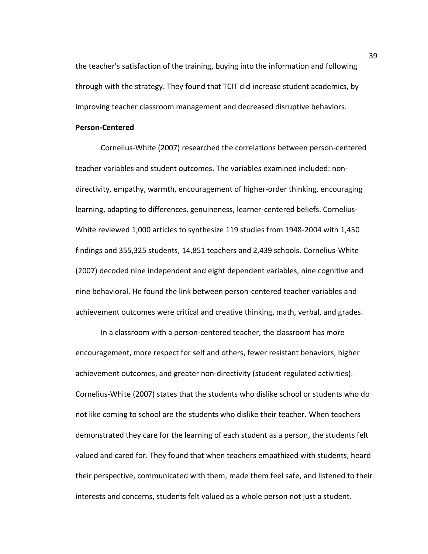the teacher's satisfaction of the training, buying into the information and following through with the strategy. They found that TCIT did increase student academics, by improving teacher classroom management and decreased disruptive behaviors.

## **Person-Centered**

Cornelius-White (2007) researched the correlations between person-centered teacher variables and student outcomes. The variables examined included: nondirectivity, empathy, warmth, encouragement of higher-order thinking, encouraging learning, adapting to differences, genuineness, learner-centered beliefs. Cornelius-White reviewed 1,000 articles to synthesize 119 studies from 1948-2004 with 1,450 findings and 355,325 students, 14,851 teachers and 2,439 schools. Cornelius-White (2007) decoded nine independent and eight dependent variables, nine cognitive and nine behavioral. He found the link between person-centered teacher variables and achievement outcomes were critical and creative thinking, math, verbal, and grades.

In a classroom with a person-centered teacher, the classroom has more encouragement, more respect for self and others, fewer resistant behaviors, higher achievement outcomes, and greater non-directivity (student regulated activities). Cornelius-White (2007) states that the students who dislike school or students who do not like coming to school are the students who dislike their teacher. When teachers demonstrated they care for the learning of each student as a person, the students felt valued and cared for. They found that when teachers empathized with students, heard their perspective, communicated with them, made them feel safe, and listened to their interests and concerns, students felt valued as a whole person not just a student.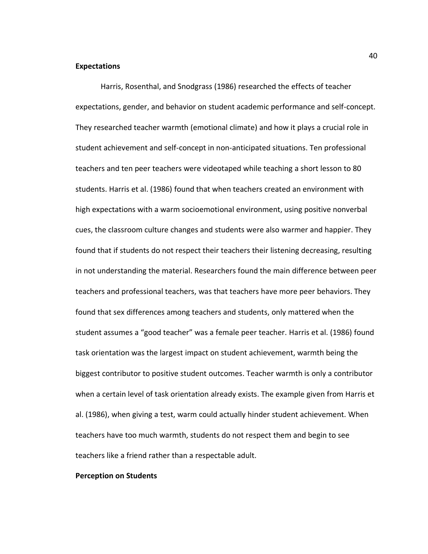## **Expectations**

Harris, Rosenthal, and Snodgrass (1986) researched the effects of teacher expectations, gender, and behavior on student academic performance and self-concept. They researched teacher warmth (emotional climate) and how it plays a crucial role in student achievement and self-concept in non-anticipated situations. Ten professional teachers and ten peer teachers were videotaped while teaching a short lesson to 80 students. Harris et al. (1986) found that when teachers created an environment with high expectations with a warm socioemotional environment, using positive nonverbal cues, the classroom culture changes and students were also warmer and happier. They found that if students do not respect their teachers their listening decreasing, resulting in not understanding the material. Researchers found the main difference between peer teachers and professional teachers, was that teachers have more peer behaviors. They found that sex differences among teachers and students, only mattered when the student assumes a "good teacher" was a female peer teacher. Harris et al. (1986) found task orientation was the largest impact on student achievement, warmth being the biggest contributor to positive student outcomes. Teacher warmth is only a contributor when a certain level of task orientation already exists. The example given from Harris et al. (1986), when giving a test, warm could actually hinder student achievement. When teachers have too much warmth, students do not respect them and begin to see teachers like a friend rather than a respectable adult.

## **Perception on Students**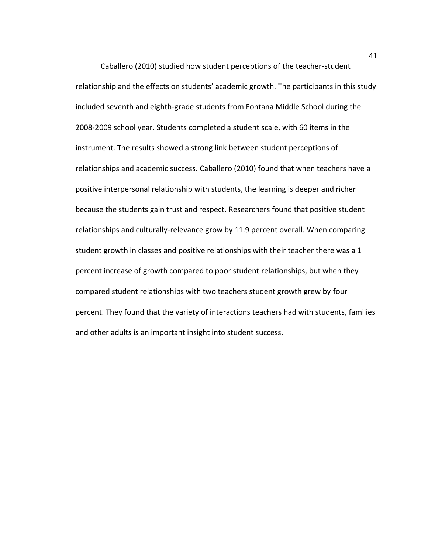Caballero (2010) studied how student perceptions of the teacher-student relationship and the effects on students' academic growth. The participants in this study included seventh and eighth-grade students from Fontana Middle School during the 2008-2009 school year. Students completed a student scale, with 60 items in the instrument. The results showed a strong link between student perceptions of relationships and academic success. Caballero (2010) found that when teachers have a positive interpersonal relationship with students, the learning is deeper and richer because the students gain trust and respect. Researchers found that positive student relationships and culturally-relevance grow by 11.9 percent overall. When comparing student growth in classes and positive relationships with their teacher there was a 1 percent increase of growth compared to poor student relationships, but when they compared student relationships with two teachers student growth grew by four percent. They found that the variety of interactions teachers had with students, families and other adults is an important insight into student success.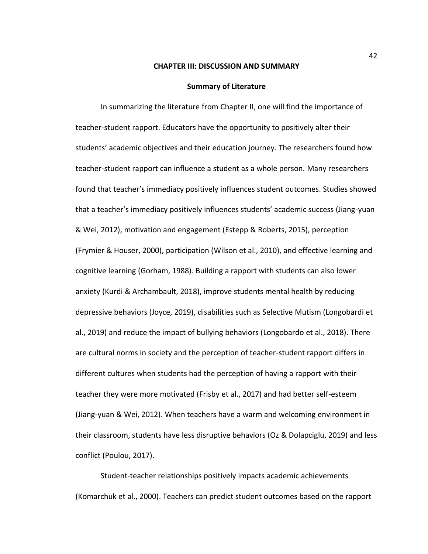#### **CHAPTER III: DISCUSSION AND SUMMARY**

#### **Summary of Literature**

In summarizing the literature from Chapter II, one will find the importance of teacher-student rapport. Educators have the opportunity to positively alter their students' academic objectives and their education journey. The researchers found how teacher-student rapport can influence a student as a whole person. Many researchers found that teacher's immediacy positively influences student outcomes. Studies showed that a teacher's immediacy positively influences students' academic success (Jiang-yuan & Wei, 2012), motivation and engagement (Estepp & Roberts, 2015), perception (Frymier & Houser, 2000), participation (Wilson et al., 2010), and effective learning and cognitive learning (Gorham, 1988). Building a rapport with students can also lower anxiety (Kurdi & Archambault, 2018), improve students mental health by reducing depressive behaviors (Joyce, 2019), disabilities such as Selective Mutism (Longobardi et al., 2019) and reduce the impact of bullying behaviors (Longobardo et al., 2018). There are cultural norms in society and the perception of teacher-student rapport differs in different cultures when students had the perception of having a rapport with their teacher they were more motivated (Frisby et al., 2017) and had better self-esteem (Jiang-yuan & Wei, 2012). When teachers have a warm and welcoming environment in their classroom, students have less disruptive behaviors (Oz & Dolapciglu, 2019) and less conflict (Poulou, 2017).

Student-teacher relationships positively impacts academic achievements (Komarchuk et al., 2000). Teachers can predict student outcomes based on the rapport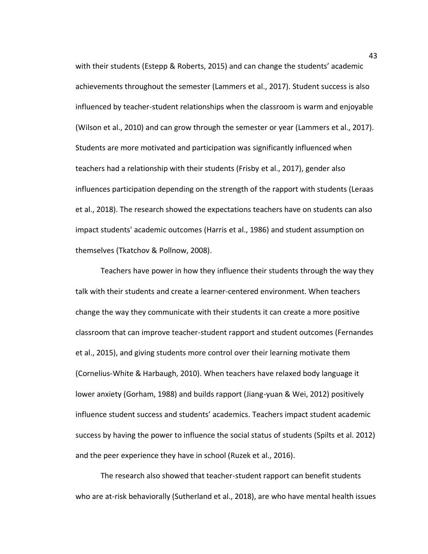with their students (Estepp & Roberts, 2015) and can change the students' academic achievements throughout the semester (Lammers et al., 2017). Student success is also influenced by teacher-student relationships when the classroom is warm and enjoyable (Wilson et al., 2010) and can grow through the semester or year (Lammers et al., 2017). Students are more motivated and participation was significantly influenced when teachers had a relationship with their students (Frisby et al., 2017), gender also influences participation depending on the strength of the rapport with students (Leraas et al., 2018). The research showed the expectations teachers have on students can also impact students' academic outcomes (Harris et al., 1986) and student assumption on themselves (Tkatchov & Pollnow, 2008).

Teachers have power in how they influence their students through the way they talk with their students and create a learner-centered environment. When teachers change the way they communicate with their students it can create a more positive classroom that can improve teacher-student rapport and student outcomes (Fernandes et al., 2015), and giving students more control over their learning motivate them (Cornelius-White & Harbaugh, 2010). When teachers have relaxed body language it lower anxiety (Gorham, 1988) and builds rapport (Jiang-yuan & Wei, 2012) positively influence student success and students' academics. Teachers impact student academic success by having the power to influence the social status of students (Spilts et al. 2012) and the peer experience they have in school (Ruzek et al., 2016).

The research also showed that teacher-student rapport can benefit students who are at-risk behaviorally (Sutherland et al., 2018), are who have mental health issues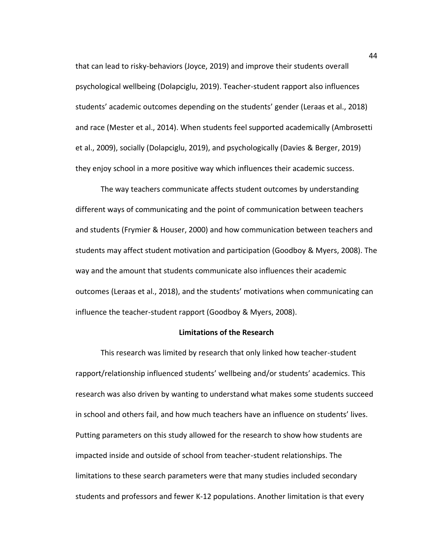that can lead to risky-behaviors (Joyce, 2019) and improve their students overall psychological wellbeing (Dolapciglu, 2019). Teacher-student rapport also influences students' academic outcomes depending on the students' gender (Leraas et al., 2018) and race (Mester et al., 2014). When students feel supported academically (Ambrosetti et al., 2009), socially (Dolapciglu, 2019), and psychologically (Davies & Berger, 2019) they enjoy school in a more positive way which influences their academic success.

The way teachers communicate affects student outcomes by understanding different ways of communicating and the point of communication between teachers and students (Frymier & Houser, 2000) and how communication between teachers and students may affect student motivation and participation (Goodboy & Myers, 2008). The way and the amount that students communicate also influences their academic outcomes (Leraas et al., 2018), and the students' motivations when communicating can influence the teacher-student rapport (Goodboy & Myers, 2008).

#### **Limitations of the Research**

This research was limited by research that only linked how teacher-student rapport/relationship influenced students' wellbeing and/or students' academics. This research was also driven by wanting to understand what makes some students succeed in school and others fail, and how much teachers have an influence on students' lives. Putting parameters on this study allowed for the research to show how students are impacted inside and outside of school from teacher-student relationships. The limitations to these search parameters were that many studies included secondary students and professors and fewer K-12 populations. Another limitation is that every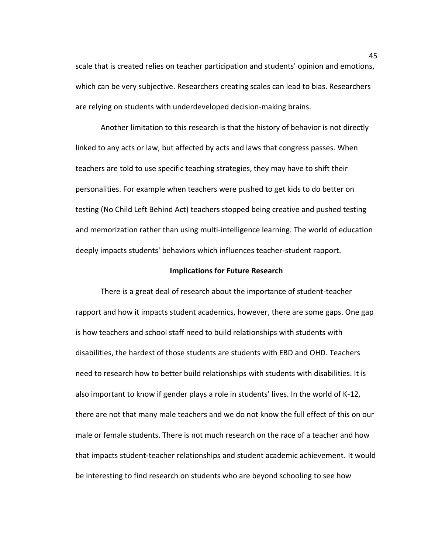scale that is created relies on teacher participation and students' opinion and emotions, which can be very subjective. Researchers creating scales can lead to bias. Researchers are relying on students with underdeveloped decision-making brains.

Another limitation to this research is that the history of behavior is not directly linked to any acts or law, but affected by acts and laws that congress passes. When teachers are told to use specific teaching strategies, they may have to shift their personalities. For example when teachers were pushed to get kids to do better on testing (No Child Left Behind Act) teachers stopped being creative and pushed testing and memorization rather than using multi-intelligence learning. The world of education deeply impacts students' behaviors which influences teacher-student rapport.

## **Implications for Future Research**

There is a great deal of research about the importance of student-teacher rapport and how it impacts student academics, however, there are some gaps. One gap is how teachers and school staff need to build relationships with students with disabilities, the hardest of those students are students with EBD and OHD. Teachers need to research how to better build relationships with students with disabilities. It is also important to know if gender plays a role in students' lives. In the world of K-12, there are not that many male teachers and we do not know the full effect of this on our male or female students. There is not much research on the race of a teacher and how that impacts student-teacher relationships and student academic achievement. It would be interesting to find research on students who are beyond schooling to see how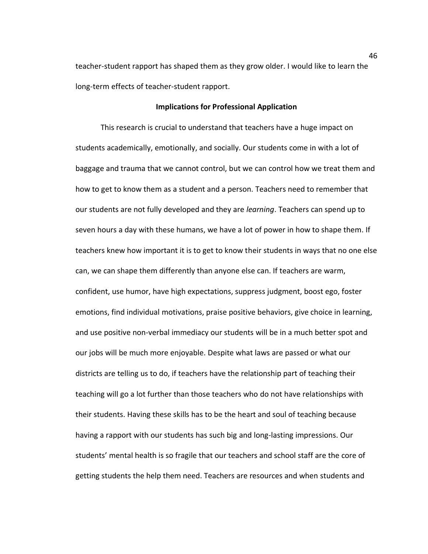teacher-student rapport has shaped them as they grow older. I would like to learn the long-term effects of teacher-student rapport.

## **Implications for Professional Application**

This research is crucial to understand that teachers have a huge impact on students academically, emotionally, and socially. Our students come in with a lot of baggage and trauma that we cannot control, but we can control how we treat them and how to get to know them as a student and a person. Teachers need to remember that our students are not fully developed and they are *learning*. Teachers can spend up to seven hours a day with these humans, we have a lot of power in how to shape them. If teachers knew how important it is to get to know their students in ways that no one else can, we can shape them differently than anyone else can. If teachers are warm, confident, use humor, have high expectations, suppress judgment, boost ego, foster emotions, find individual motivations, praise positive behaviors, give choice in learning, and use positive non-verbal immediacy our students will be in a much better spot and our jobs will be much more enjoyable. Despite what laws are passed or what our districts are telling us to do, if teachers have the relationship part of teaching their teaching will go a lot further than those teachers who do not have relationships with their students. Having these skills has to be the heart and soul of teaching because having a rapport with our students has such big and long-lasting impressions. Our students' mental health is so fragile that our teachers and school staff are the core of getting students the help them need. Teachers are resources and when students and

46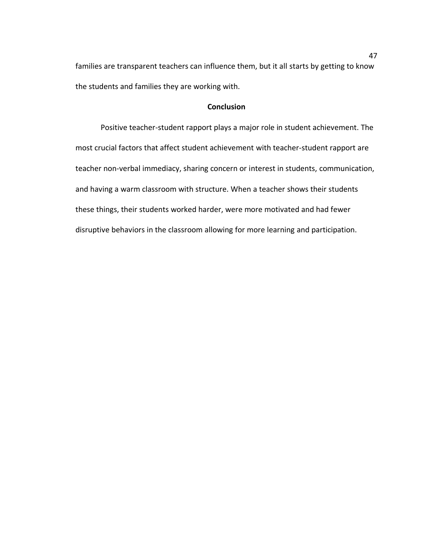families are transparent teachers can influence them, but it all starts by getting to know the students and families they are working with.

## **Conclusion**

Positive teacher-student rapport plays a major role in student achievement. The most crucial factors that affect student achievement with teacher-student rapport are teacher non-verbal immediacy, sharing concern or interest in students, communication, and having a warm classroom with structure. When a teacher shows their students these things, their students worked harder, were more motivated and had fewer disruptive behaviors in the classroom allowing for more learning and participation.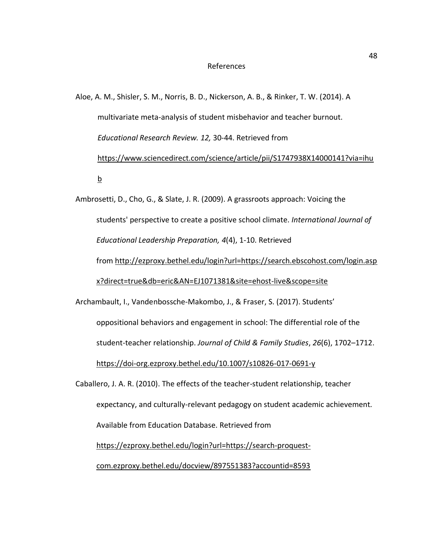#### References

Aloe, A. M., Shisler, S. M., Norris, B. D., Nickerson, A. B., & Rinker, T. W. (2014). A multivariate meta-analysis of student misbehavior and teacher burnout. *Educational Research Review. 12,* 30-44. Retrieved from [https://www.sciencedirect.com/science/article/pii/S1747938X14000141?via=ihu](https://www.sciencedirect.com/science/article/pii/S1747938X14000141?via=ihub) [b](https://www.sciencedirect.com/science/article/pii/S1747938X14000141?via=ihub)

Ambrosetti, D., Cho, G., & Slate, J. R. (2009). A grassroots approach: Voicing the students' perspective to create a positive school climate. *International Journal of Educational Leadership Preparation, 4*(4), 1-10. Retrieved from [http://ezproxy.bethel.edu/login?url=https://search.ebscohost.com/login.asp](http://ezproxy.bethel.edu/login?url=https://search.ebscohost.com/login.aspx?direct=true&db=eric&AN=EJ1071381&site=ehost-live&scope=site) [x?direct=true&db=eric&AN=EJ1071381&site=ehost-live&scope=site](http://ezproxy.bethel.edu/login?url=https://search.ebscohost.com/login.aspx?direct=true&db=eric&AN=EJ1071381&site=ehost-live&scope=site)

Archambault, I., Vandenbossche-Makombo, J., & Fraser, S. (2017). Students' oppositional behaviors and engagement in school: The differential role of the student-teacher relationship. *Journal of Child & Family Studies*, *26*(6), 1702–1712. <https://doi-org.ezproxy.bethel.edu/10.1007/s10826-017-0691-y>

Caballero, J. A. R. (2010). The effects of the teacher-student relationship, teacher expectancy, and culturally-relevant pedagogy on student academic achievement*.*  Available from Education Database. Retrieved from [https://ezproxy.bethel.edu/login?url=https://search-proquest](https://ezproxy.bethel.edu/login?url=https://search-proquest-com.ezproxy.bethel.edu/docview/897551383?accountid=8593)[com.ezproxy.bethel.edu/docview/897551383?accountid=8593](https://ezproxy.bethel.edu/login?url=https://search-proquest-com.ezproxy.bethel.edu/docview/897551383?accountid=8593)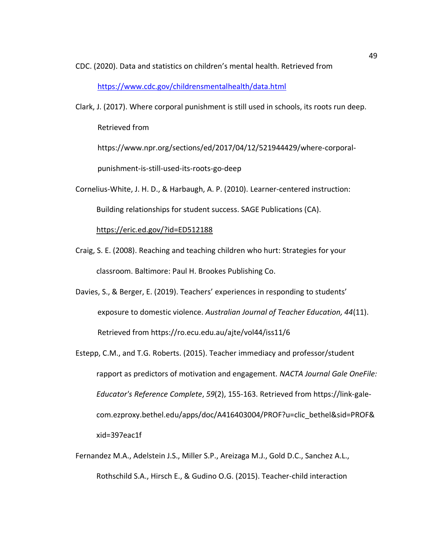CDC. (2020). Data and statistics on children's mental health. Retrieved from

<https://www.cdc.gov/childrensmentalhealth/data.html>

Clark, J. (2017). Where corporal punishment is still used in schools, its roots run deep. Retrieved from

https://www.npr.org/sections/ed/2017/04/12/521944429/where-corporalpunishment-is-still-used-its-roots-go-deep

- Cornelius-White, J. H. D., & Harbaugh, A. P. (2010). Learner-centered instruction: Building relationships for student success. SAGE Publications (CA). <https://eric.ed.gov/?id=ED512188>
- Craig, S. E. (2008). Reaching and teaching children who hurt: Strategies for your classroom. Baltimore: Paul H. Brookes Publishing Co.
- Davies, S., & Berger, E. (2019). Teachers' experiences in responding to students' exposure to domestic violence. *Australian Journal of Teacher Education, 44*(11). Retrieved from https://ro.ecu.edu.au/ajte/vol44/iss11/6
- Estepp, C.M., and T.G. Roberts. (2015). Teacher immediacy and professor/student rapport as predictors of motivation and engagement. *NACTA Journal Gale OneFile: Educator's Reference Complete*, *59*(2), 155-163. Retrieved from https://link-galecom.ezproxy.bethel.edu/apps/doc/A416403004/PROF?u=clic\_bethel&sid=PROF& xid=397eac1f
- Fernandez M.A., Adelstein J.S., Miller S.P., Areizaga M.J., Gold D.C., Sanchez A.L., Rothschild S.A., Hirsch E., & Gudino O.G. (2015). Teacher-child interaction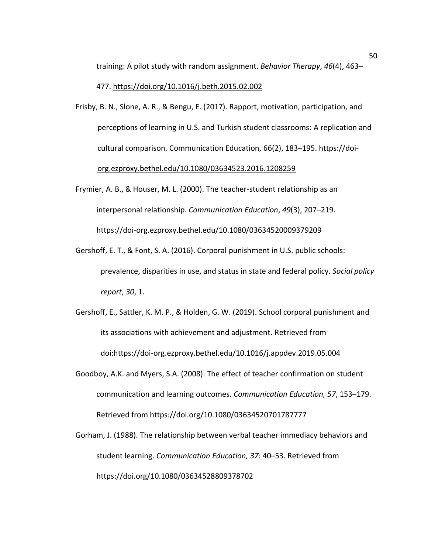training: A pilot study with random assignment. *Behavior Therapy*, *46*(4), 463–

## 477. [https://doi.org/10.1016/j.beth.2015.02.002](https://doi-org.ezproxy.bethel.edu/10.1016/j.beth.2015.02.002)

- Frisby, B. N., Slone, A. R., & Bengu, E. (2017). Rapport, motivation, participation, and perceptions of learning in U.S. and Turkish student classrooms: A replication and cultural comparison. Communication Education, 66(2), 183–195. [https://doi](https://doi-org.ezproxy.bethel.edu/10.1080/03634523.2016.1208259)[org.ezproxy.bethel.edu/10.1080/03634523.2016.1208259](https://doi-org.ezproxy.bethel.edu/10.1080/03634523.2016.1208259)
- Frymier, A. B., & Houser, M. L. (2000). The teacher-student relationship as an interpersonal relationship. *Communication Education*, *49*(3), 207–219. <https://doi-org.ezproxy.bethel.edu/10.1080/03634520009379209>
- Gershoff, E. T., & Font, S. A. (2016). Corporal punishment in U.S. public schools: prevalence, disparities in use, and status in state and federal policy. *Social policy report*, *30*, 1.
- Gershoff, E., Sattler, K. M. P., & Holden, G. W. (2019). School corporal punishment and its associations with achievement and adjustment. Retrieved from doi[:https://doi-org.ezproxy.bethel.edu/10.1016/j.appdev.2019.05.004](https://doi-org.ezproxy.bethel.edu/10.1016/j.appdev.2019.05.004)
- Goodboy, A.K. and Myers, S.A. (2008). The effect of teacher confirmation on student communication and learning outcomes. *Communication Education, 57*, 153–179. Retrieved from https://doi.org/10.1080/03634520701787777
- Gorham, J. (1988). The relationship between verbal teacher immediacy behaviors and student learning. *Communication Education, 37*: 40–53. Retrieved from https://doi.org/10.1080/03634528809378702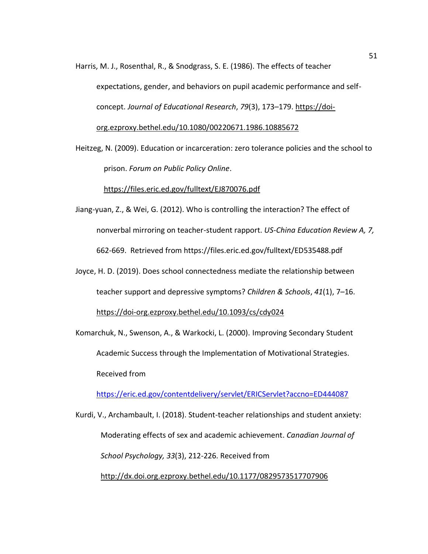- Harris, M. J., Rosenthal, R., & Snodgrass, S. E. (1986). The effects of teacher expectations, gender, and behaviors on pupil academic performance and selfconcept. *Journal of Educational Research*, *79*(3), 173–179. [https://doi](https://doi-org.ezproxy.bethel.edu/10.1080/00220671.1986.10885672)[org.ezproxy.bethel.edu/10.1080/00220671.1986.10885672](https://doi-org.ezproxy.bethel.edu/10.1080/00220671.1986.10885672)
- Heitzeg, N. (2009). Education or incarceration: zero tolerance policies and the school to prison. *Forum on Public Policy Online*.

## <https://files.eric.ed.gov/fulltext/EJ870076.pdf>

- Jiang-yuan, Z., & Wei, G. (2012). Who is controlling the interaction? The effect of nonverbal mirroring on teacher-student rapport. *US-China Education Review A, 7,*  662-669. Retrieved from https://files.eric.ed.gov/fulltext/ED535488.pdf
- Joyce, H. D. (2019). Does school connectedness mediate the relationship between teacher support and depressive symptoms? *Children & Schools*, *41*(1), 7–16. <https://doi-org.ezproxy.bethel.edu/10.1093/cs/cdy024>
- Komarchuk, N., Swenson, A., & Warkocki, L. (2000). Improving Secondary Student Academic Success through the Implementation of Motivational Strategies. Received from

<https://eric.ed.gov/contentdelivery/servlet/ERICServlet?accno=ED444087>

Kurdi, V., Archambault, I. (2018). Student-teacher relationships and student anxiety: Moderating effects of sex and academic achievement. *Canadian Journal of School Psychology, 33*(3), 212-226. Received from <http://dx.doi.org.ezproxy.bethel.edu/10.1177/0829573517707906>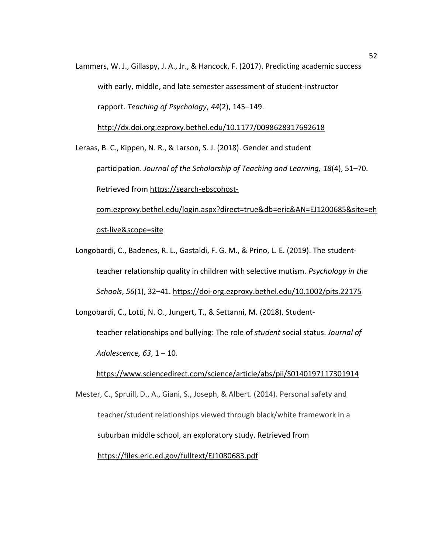Lammers, W. J., Gillaspy, J. A., Jr., & Hancock, F. (2017). Predicting academic success with early, middle, and late semester assessment of student-instructor rapport. *Teaching of Psychology*, *44*(2), 145–149.

<http://dx.doi.org.ezproxy.bethel.edu/10.1177/0098628317692618>

Leraas, B. C., Kippen, N. R., & Larson, S. J. (2018). Gender and student participation. *Journal of the Scholarship of Teaching and Learning, 18*(4), 51–70. Retrieved from [https://search-ebscohost](https://search-ebscohost-com.ezproxy.bethel.edu/login.aspx?direct=true&db=eric&AN=EJ1200685&site=ehost-live&scope=site)[com.ezproxy.bethel.edu/login.aspx?direct=true&db=eric&AN=EJ1200685&site=eh](https://search-ebscohost-com.ezproxy.bethel.edu/login.aspx?direct=true&db=eric&AN=EJ1200685&site=ehost-live&scope=site)

[ost-live&scope=site](https://search-ebscohost-com.ezproxy.bethel.edu/login.aspx?direct=true&db=eric&AN=EJ1200685&site=ehost-live&scope=site)

Longobardi, C., Badenes, R. L., Gastaldi, F. G. M., & Prino, L. E. (2019). The studentteacher relationship quality in children with selective mutism. *Psychology in the Schools*, *56*(1), 32–41.<https://doi-org.ezproxy.bethel.edu/10.1002/pits.22175>

Longobardi, C., Lotti, N. O., Jungert, T., & Settanni, M. (2018). Studentteacher relationships and bullying: The role of *student* social status. *Journal of*

*Adolescence, 63*, 1 – 10.

<https://www.sciencedirect.com/science/article/abs/pii/S0140197117301914>

Mester, C., Spruill, D., A., Giani, S., Joseph, & Albert. (2014). Personal safety and teacher/student relationships viewed through black/white framework in a suburban middle school, an exploratory study. Retrieved from <https://files.eric.ed.gov/fulltext/EJ1080683.pdf>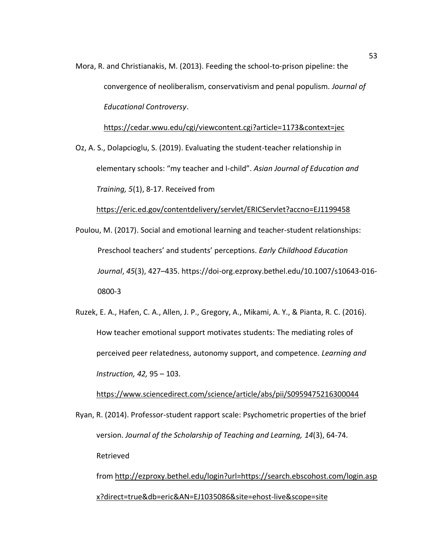Mora, R. and Christianakis, M. (2013). Feeding the school-to-prison pipeline: the convergence of neoliberalism, conservativism and penal populism. *Journal of Educational Controversy*.

<https://cedar.wwu.edu/cgi/viewcontent.cgi?article=1173&context=jec>

Oz, A. S., Dolapcioglu, S. (2019). Evaluating the student-teacher relationship in elementary schools: "my teacher and I-child". *Asian Journal of Education and Training, 5*(1), 8-17. Received from

<https://eric.ed.gov/contentdelivery/servlet/ERICServlet?accno=EJ1199458>

- Poulou, M. (2017). Social and emotional learning and teacher-student relationships: Preschool teachers' and students' perceptions. *Early Childhood Education Journal*, *45*(3), 427–435. https://doi-org.ezproxy.bethel.edu/10.1007/s10643-016- 0800-3
- Ruzek, E. A., Hafen, C. A., Allen, J. P., Gregory, A., Mikami, A. Y., & Pianta, R. C. (2016). How teacher emotional support motivates students: The mediating roles of perceived peer relatedness, autonomy support, and competence. *Learning and Instruction, 42,* 95 – 103.

<https://www.sciencedirect.com/science/article/abs/pii/S0959475216300044>

Ryan, R. (2014). Professor-student rapport scale: Psychometric properties of the brief version. *Journal of the Scholarship of Teaching and Learning, 14*(3), 64-74. Retrieved

from [http://ezproxy.bethel.edu/login?url=https://search.ebscohost.com/login.asp](http://ezproxy.bethel.edu/login?url=https://search.ebscohost.com/login.aspx?direct=true&db=eric&AN=EJ1035086&site=ehost-live&scope=site) [x?direct=true&db=eric&AN=EJ1035086&site=ehost-live&scope=site](http://ezproxy.bethel.edu/login?url=https://search.ebscohost.com/login.aspx?direct=true&db=eric&AN=EJ1035086&site=ehost-live&scope=site)